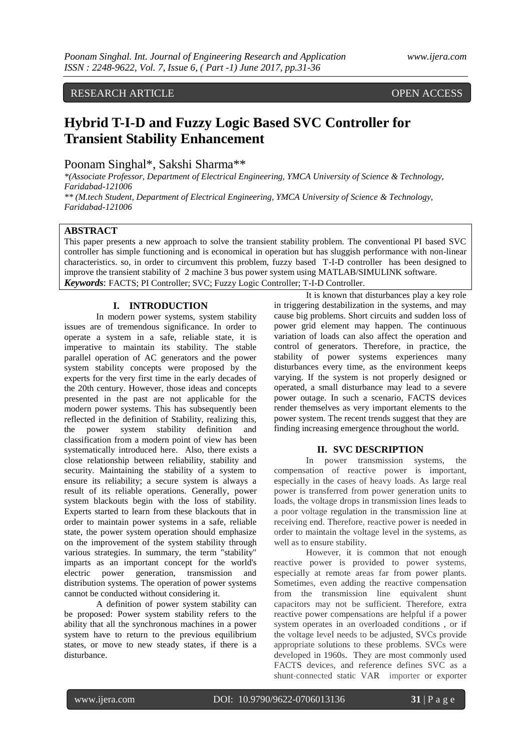RESEARCH ARTICLE OPEN ACCESS

# **Hybrid T-I-D and Fuzzy Logic Based SVC Controller for Transient Stability Enhancement**

Poonam Singhal\*, Sakshi Sharma\*\*

*\*(Associate Professor, Department of Electrical Engineering, YMCA University of Science & Technology, Faridabad-121006 \*\* (M.tech Student, Department of Electrical Engineering, YMCA University of Science & Technology, Faridabad-121006*

# **ABSTRACT**

This paper presents a new approach to solve the transient stability problem. The conventional PI based SVC controller has simple functioning and is economical in operation but has sluggish performance with non-linear characteristics. so, in order to circumvent this problem, fuzzy based T-I-D controller has been designed to improve the transient stability of 2 machine 3 bus power system using MATLAB/SIMULINK software. *Keywords*: FACTS; PI Controller; SVC; Fuzzy Logic Controller; T-I-D Controller.

#### **I. INTRODUCTION**

In modern power systems, system stability issues are of tremendous significance. In order to operate a system in a safe, reliable state, it is imperative to maintain its stability. The stable parallel operation of AC generators and the power system stability concepts were proposed by the experts for the very first time in the early decades of the 20th century. However, those ideas and concepts presented in the past are not applicable for the modern power systems. This has subsequently been reflected in the definition of Stability, realizing this, the power system stability definition and classification from a modern point of view has been systematically introduced here. Also, there exists a close relationship between reliability, stability and security. Maintaining the stability of a system to ensure its reliability; a secure system is always a result of its reliable operations. Generally, power system blackouts begin with the loss of stability. Experts started to learn from these blackouts that in order to maintain power systems in a safe, reliable state, the power system operation should emphasize on the improvement of the system stability through various strategies. In summary, the term "stability" imparts as an important concept for the world's electric power generation, transmission and distribution systems. The operation of power systems cannot be conducted without considering it.

A definition of power system stability can be proposed: Power system stability refers to the ability that all the synchronous machines in a power system have to return to the previous equilibrium states, or move to new steady states, if there is a disturbance.

It is known that disturbances play a key role in triggering destabilization in the systems, and may cause big problems. Short circuits and sudden loss of power grid element may happen. The continuous variation of loads can also affect the operation and control of generators. Therefore, in practice, the stability of power systems experiences many disturbances every time, as the environment keeps varying. If the system is not properly designed or operated, a small disturbance may lead to a severe power outage. In such a scenario, FACTS devices render themselves as very important elements to the power system. The recent trends suggest that they are finding increasing emergence throughout the world.

# **II. SVC DESCRIPTION**

In power transmission systems, the compensation of reactive power is important, especially in the cases of heavy loads. As large real power is transferred from power generation units to loads, the voltage drops in transmission lines leads to a poor voltage regulation in the transmission line at receiving end. Therefore, reactive power is needed in order to maintain the voltage level in the systems, as well as to ensure stability.

However, it is common that not enough reactive power is provided to power systems, especially at remote areas far from power plants. Sometimes, even adding the reactive compensation from the transmission line equivalent shunt capacitors may not be sufficient. Therefore, extra reactive power compensations are helpful if a power system operates in an overloaded conditions , or if the voltage level needs to be adjusted, SVCs provide appropriate solutions to these problems. SVCs were developed in 1960s. They are most commonly used FACTS devices, and reference defines SVC as a shunt-connected static VAR importer or exporter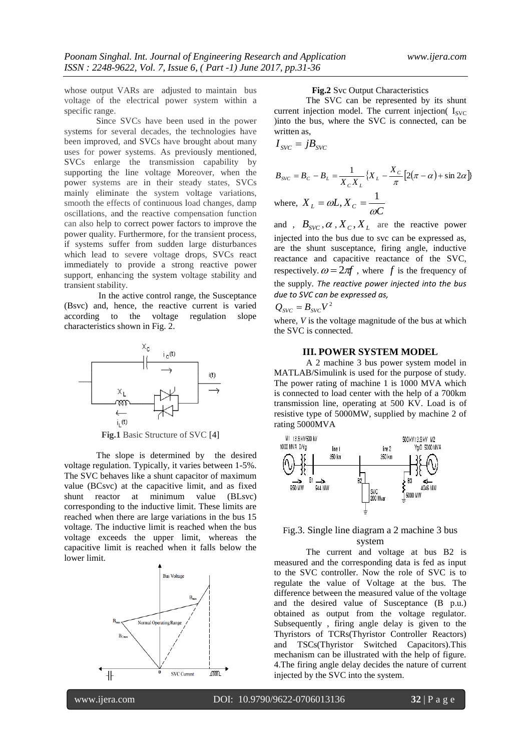whose output VARs are adjusted to maintain bus voltage of the electrical power system within a specific range.

Since SVCs have been used in the power systems for several decades, the technologies have been improved, and SVCs have brought about many uses for power systems. As previously mentioned, SVCs enlarge the transmission capability by supporting the line voltage Moreover, when the power systems are in their steady states, SVCs mainly eliminate the system voltage variations, smooth the effects of continuous load changes, damp oscillations, and the reactive compensation function can also help to correct power factors to improve the power quality. Furthermore, for the transient process, if systems suffer from sudden large disturbances which lead to severe voltage drops, SVCs react immediately to provide a strong reactive power support, enhancing the system voltage stability and transient stability.

In the active control range, the Susceptance (Bsvc) and, hence, the reactive current is varied according to the voltage regulation slope characteristics shown in Fig. 2.



**Fig.1** Basic Structure of SVC [4]

The slope is determined by the desired voltage regulation. Typically, it varies between 1-5%. The SVC behaves like a shunt capacitor of maximum value (BCsvc) at the capacitive limit, and as fixed shunt reactor at minimum value (BLsvc) corresponding to the inductive limit. These limits are reached when there are large variations in the bus 15 voltage. The inductive limit is reached when the bus voltage exceeds the upper limit, whereas the capacitive limit is reached when it falls below the lower limit.



# **Fig.2** Svc Output Characteristics

The SVC can be represented by its shunt current injection model. The current injection  $I_{SVC}$ )into the bus, where the SVC is connected, can be written as,

$$
I_{\scriptscriptstyle SVC} = jB_{\scriptscriptstyle SVC}
$$

$$
B_{SVC} = B_C - B_L = \frac{1}{X_c X_L} \{ X_L - \frac{X_C}{\pi} [2(\pi - \alpha) + \sin 2\alpha] \}
$$
  
where,  $X_L = \omega L, X_C = \frac{1}{\omega C}$ 

and ,  $B_{SVC}$ ,  $\alpha$ ,  $X_c$ ,  $X_L$  are the reactive power injected into the bus due to svc can be expressed as, are the shunt susceptance, firing angle, inductive reactance and capacitive reactance of the SVC, respectively.  $\omega = 2\pi f$ , where f is the frequency of the supply. *The reactive power injected into the bus due to SVC can be expressed as,*

$$
Q_{\rm{SVC}} = B_{\rm{SVC}} V^2
$$

where*, V* is the voltage magnitude of the bus at which the SVC is connected.

#### **III. POWER SYSTEM MODEL**

A 2 machine 3 bus power system model in MATLAB/Simulink is used for the purpose of study. The power rating of machine 1 is 1000 MVA which is connected to load center with the help of a 700km transmission line, operating at 500 KV. Load is of resistive type of 5000MW, supplied by machine 2 of rating 5000MVA



# Fig.3. Single line diagram a 2 machine 3 bus system

The current and voltage at bus B2 is measured and the corresponding data is fed as input to the SVC controller. Now the role of SVC is to regulate the value of Voltage at the bus. The difference between the measured value of the voltage and the desired value of Susceptance (B p.u.) obtained as output from the voltage regulator. Subsequently , firing angle delay is given to the Thyristors of TCRs(Thyristor Controller Reactors) and TSCs(Thyristor Switched Capacitors).This mechanism can be illustrated with the help of figure. 4.The firing angle delay decides the nature of current injected by the SVC into the system.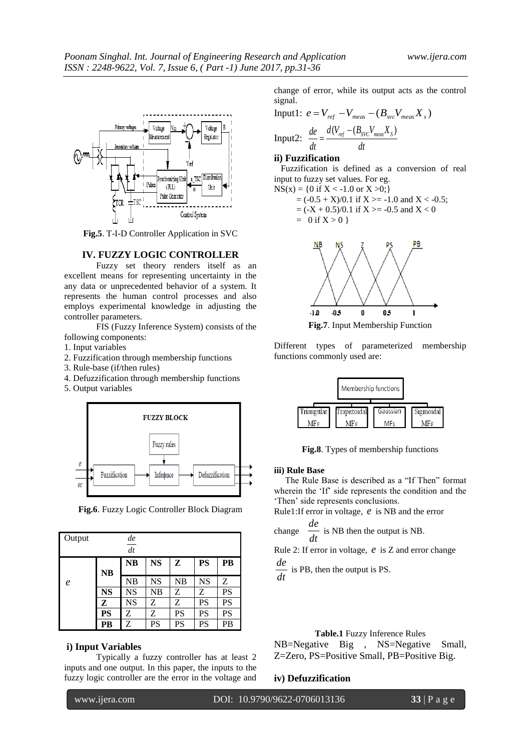

**Fig.5**. T-I-D Controller Application in SVC

#### **IV. FUZZY LOGIC CONTROLLER**

Fuzzy set theory renders itself as an excellent means for representing uncertainty in the any data or unprecedented behavior of a system. It represents the human control processes and also employs experimental knowledge in adjusting the controller parameters.

FIS (Fuzzy Inference System) consists of the following components:

- 1. Input variables
- 2. Fuzzification through membership functions
- 3. Rule-base (if/then rules)
- 4. Defuzzification through membership functions
- 5. Output variables



**Fig.6**. Fuzzy Logic Controller Block Diagram

| Output           |           | de        |           |           |           |           |
|------------------|-----------|-----------|-----------|-----------|-----------|-----------|
|                  |           | dt        |           |           |           |           |
|                  | <b>NB</b> | <b>NB</b> | <b>NS</b> | z         | <b>PS</b> | PB        |
| $\boldsymbol{e}$ |           | NB        | <b>NS</b> | NB        | <b>NS</b> | Ζ         |
|                  | <b>NS</b> | <b>NS</b> | NB        | Ζ         | Z         | <b>PS</b> |
|                  | Z         | <b>NS</b> | Z         | Z         | <b>PS</b> | PS        |
|                  | <b>PS</b> | Ζ         | Z         | <b>PS</b> | <b>PS</b> | PS        |
|                  | PB        | Z         | PS        | PS        | PS        | PB        |

# **i) Input Variables**

Typically a fuzzy controller has at least 2 inputs and one output. In this paper, the inputs to the fuzzy logic controller are the error in the voltage and

change of error, while its output acts as the control signal.

Input1: 
$$
e = V_{ref} - V_{meas} - (B_{src}V_{meas}X_s)
$$
  
Input2: 
$$
\frac{de}{dt} = \frac{d(V_{ref} - (B_{SVC}V_{meas}X_s))}{dt}
$$

# **ii) Fuzzification**

 Fuzzification is defined as a conversion of real input to fuzzy set values. For eg.

$$
NS(x) = \{0 \text{ if } X < -1.0 \text{ or } X > 0; \}
$$

$$
= (-0.5 + X)/0.1 \text{ if } X > = -1.0 \text{ and } X < -0.5;
$$
  
= (-X + 0.5)/0.1 if X > = -0.5 and X < 0  
= 0 if X > 0 }



**Fig.7**. Input Membership Function

Different types of parameterized membership functions commonly used are:



**Fig.8**. Types of membership functions

#### **iii) Rule Base**

 The Rule Base is described as a "If Then" format wherein the 'If' side represents the condition and the 'Then' side represents conclusions.

Rule1:If error in voltage, *e* is NB and the error *de*

change 
$$
\frac{de}{dt}
$$
 is NB then the output is NB.

Rule 2: If error in voltage, *e* is Z and error change

*dt*  $\frac{de}{ }$  is PB, then the output is PS.

#### **Table.1** Fuzzy Inference Rules

NB=Negative Big , NS=Negative Small, Z=Zero, PS=Positive Small, PB=Positive Big.

# **iv) Defuzzification**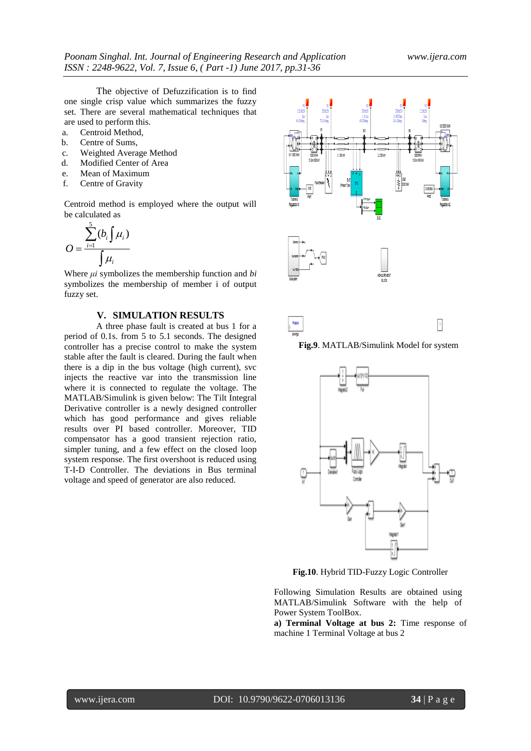The objective of Defuzzification is to find one single crisp value which summarizes the fuzzy set. There are several mathematical techniques that are used to perform this.

- a. Centroid Method,
- b. Centre of Sums,
- c. Weighted Average Method
- d. Modified Center of Area
- e. Mean of Maximum
- f. Centre of Gravity

Centroid method is employed where the output will be calculated as

$$
O = \frac{\sum_{i=1}^{5} (b_i \int \mu_i)}{\int \mu_i}
$$

Where *μi* symbolizes the membership function and *bi*  symbolizes the membership of member i of output fuzzy set.

# **V. SIMULATION RESULTS**

A three phase fault is created at bus 1 for a period of 0.1s. from 5 to 5.1 seconds. The designed controller has a precise control to make the system stable after the fault is cleared. During the fault when there is a dip in the bus voltage (high current), svc injects the reactive var into the transmission line where it is connected to regulate the voltage. The MATLAB/Simulink is given below: The Tilt Integral Derivative controller is a newly designed controller which has good performance and gives reliable results over PI based controller. Moreover, TID compensator has a good transient rejection ratio, simpler tuning, and a few effect on the closed loop system response. The first overshoot is reduced using T-I-D Controller. The deviations in Bus terminal voltage and speed of generator are also reduced.





**Fig.9**. MATLAB/Simulink Model for system



**Fig.10**. Hybrid TID-Fuzzy Logic Controller

Following Simulation Results are obtained using MATLAB/Simulink Software with the help of Power System ToolBox.

**a) Terminal Voltage at bus 2:** Time response of machine 1 Terminal Voltage at bus 2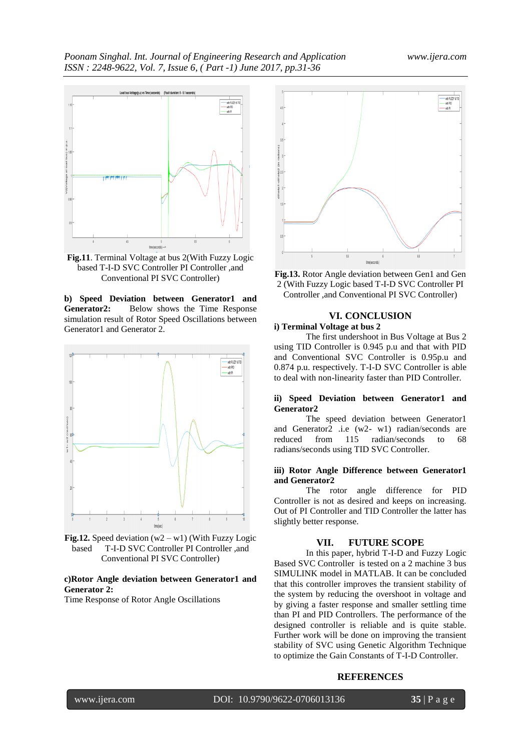

**Fig.11**. Terminal Voltage at bus 2(With Fuzzy Logic based T-I-D SVC Controller PI Controller ,and Conventional PI SVC Controller)

**b) Speed Deviation between Generator1 and**  Generator2: Below shows the Time Response simulation result of Rotor Speed Oscillations between Generator1 and Generator 2.



**Fig.12.** Speed deviation  $(w2 - w1)$  (With Fuzzy Logic based T-I-D SVC Controller PI Controller ,and Conventional PI SVC Controller)

# **c)Rotor Angle deviation between Generator1 and Generator 2:**

Time Response of Rotor Angle Oscillations



**Fig.13.** Rotor Angle deviation between Gen1 and Gen 2 (With Fuzzy Logic based T-I-D SVC Controller PI Controller ,and Conventional PI SVC Controller)

# **VI. CONCLUSION**

# **i) Terminal Voltage at bus 2**

The first undershoot in Bus Voltage at Bus 2 using TID Controller is 0.945 p.u and that with PID and Conventional SVC Controller is 0.95p.u and 0.874 p.u. respectively. T-I-D SVC Controller is able to deal with non-linearity faster than PID Controller.

# **ii) Speed Deviation between Generator1 and Generator2**

The speed deviation between Generator1 and Generator2 .i.e (w2- w1) radian/seconds are reduced from 115 radian/seconds to 68 radians/seconds using TID SVC Controller.

### **iii) Rotor Angle Difference between Generator1 and Generator2**

The rotor angle difference for PID Controller is not as desired and keeps on increasing. Out of PI Controller and TID Controller the latter has slightly better response.

# **VII. FUTURE SCOPE**

In this paper, hybrid T-I-D and Fuzzy Logic Based SVC Controller is tested on a 2 machine 3 bus SIMULINK model in MATLAB. It can be concluded that this controller improves the transient stability of the system by reducing the overshoot in voltage and by giving a faster response and smaller settling time than PI and PID Controllers. The performance of the designed controller is reliable and is quite stable. Further work will be done on improving the transient stability of SVC using Genetic Algorithm Technique to optimize the Gain Constants of T-I-D Controller.

# **REFERENCES**